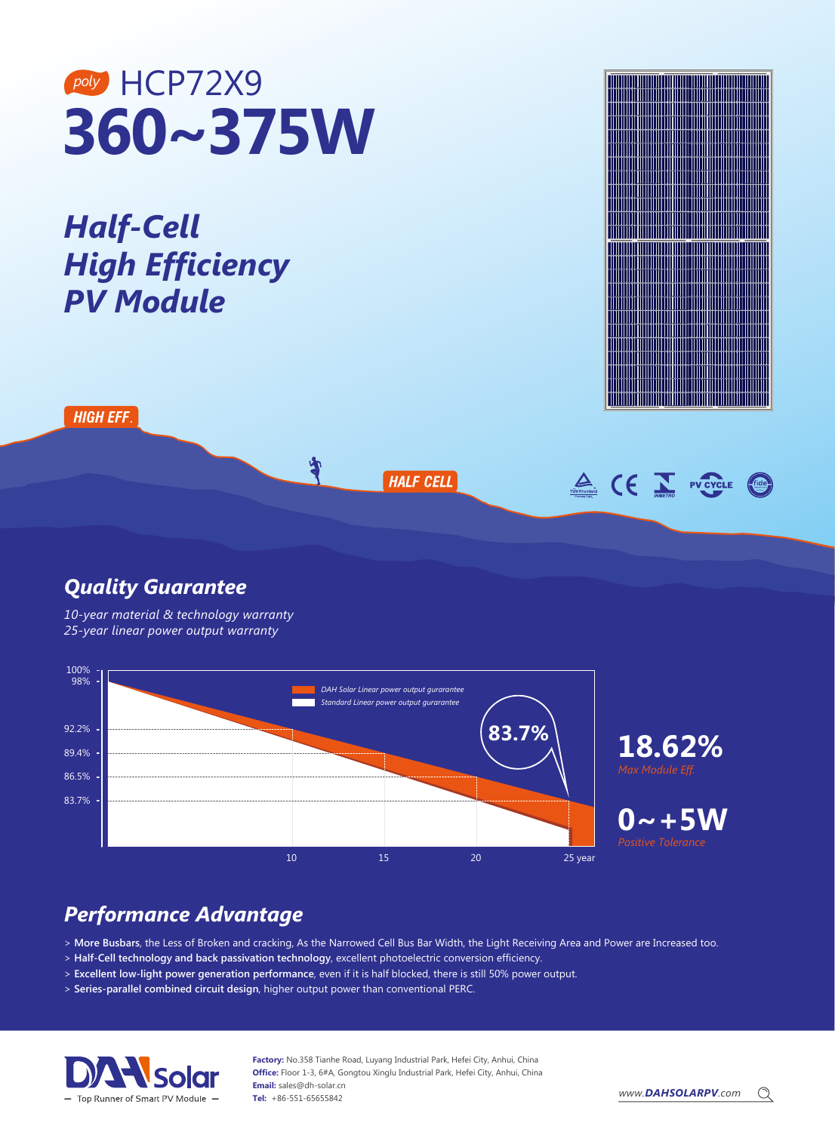# **360~375W** *poly* HCP72X9

*Half-Cell High Efficiency PV Module*

**HIGH EFF** 

### **HALF CELL**

Å



#### *Quality Guarantee*

*10-year material & technology warranty 25-year linear power output warranty* 



## *Performance Advantage*

> **More Busbars**, the Less of Broken and cracking, As the Narrowed Cell Bus Bar Width, the Light Receiving Area and Power are Increased too.

- > **Half-Cell technology and back passivation technology**, excellent photoelectric conversion efficiency.
- > **Excellent low-light power generation performance**, even if it is half blocked, there is still 50% power output.
- > **Series-parallel combined circuit design**, higher output power than conventional PERC.



**Factory:** No.358 Tianhe Road, Luyang Industrial Park, Hefei City, Anhui, China **Office:** Floor 1-3, 6#A, Gongtou Xinglu Industrial Park, Hefei City, Anhui, China **Email:** sales@dh-solar.cn **Tel:** +86-551-65655842